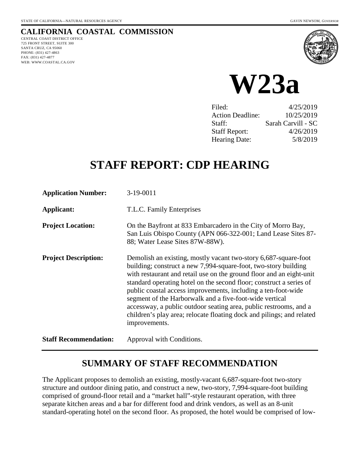# **CALIFORNIA COASTAL COMMISSION**

CENTRAL COAST DISTRICT OFFICE 725 FRONT STREET, SUITE 300 SANTA CRUZ, CA 95060 PHONE: (831) 427-4863 FAX: (831) 427-4877 WEB: WWW.COASTAL.CA.GOV





| Filed:                  | 4/25/2019          |
|-------------------------|--------------------|
| <b>Action Deadline:</b> | 10/25/2019         |
| Staff:                  | Sarah Carvill - SC |
| <b>Staff Report:</b>    | 4/26/2019          |
| <b>Hearing Date:</b>    | 5/8/2019           |
|                         |                    |

# **STAFF REPORT: CDP HEARING**

| <b>Application Number:</b>   | 3-19-0011                                                                                                                                                                                                                                                                                                                                                                                                                                                                                                                                                                    |
|------------------------------|------------------------------------------------------------------------------------------------------------------------------------------------------------------------------------------------------------------------------------------------------------------------------------------------------------------------------------------------------------------------------------------------------------------------------------------------------------------------------------------------------------------------------------------------------------------------------|
| Applicant:                   | T.L.C. Family Enterprises                                                                                                                                                                                                                                                                                                                                                                                                                                                                                                                                                    |
| <b>Project Location:</b>     | On the Bayfront at 833 Embarcadero in the City of Morro Bay,<br>San Luis Obispo County (APN 066-322-001; Land Lease Sites 87-<br>88; Water Lease Sites 87W-88W).                                                                                                                                                                                                                                                                                                                                                                                                             |
| <b>Project Description:</b>  | Demolish an existing, mostly vacant two-story 6,687-square-foot<br>building; construct a new 7,994-square-foot, two-story building<br>with restaurant and retail use on the ground floor and an eight-unit<br>standard operating hotel on the second floor; construct a series of<br>public coastal access improvements, including a ten-foot-wide<br>segment of the Harborwalk and a five-foot-wide vertical<br>accessway, a public outdoor seating area, public restrooms, and a<br>children's play area; relocate floating dock and pilings; and related<br>improvements. |
| <b>Staff Recommendation:</b> | Approval with Conditions.                                                                                                                                                                                                                                                                                                                                                                                                                                                                                                                                                    |

# **SUMMARY OF STAFF RECOMMENDATION**

The Applicant proposes to demolish an existing, mostly-vacant 6,687-square-foot two-story structure and outdoor dining patio, and construct a new, two-story, 7,994-square-foot building comprised of ground-floor retail and a "market hall"-style restaurant operation, with three separate kitchen areas and a bar for different food and drink vendors, as well as an 8-unit standard-operating hotel on the second floor. As proposed, the hotel would be comprised of low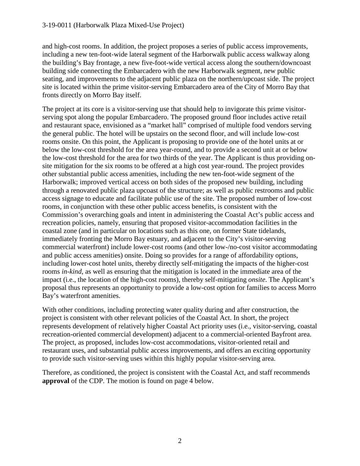and high-cost rooms. In addition, the project proposes a series of public access improvements, including a new ten-foot-wide lateral segment of the Harborwalk public access walkway along the building's Bay frontage, a new five-foot-wide vertical access along the southern/downcoast building side connecting the Embarcadero with the new Harborwalk segment, new public seating, and improvements to the adjacent public plaza on the northern/upcoast side. The project site is located within the prime visitor-serving Embarcadero area of the City of Morro Bay that fronts directly on Morro Bay itself.

The project at its core is a visitor-serving use that should help to invigorate this prime visitorserving spot along the popular Embarcadero. The proposed ground floor includes active retail and restaurant space, envisioned as a "market hall" comprised of multiple food vendors serving the general public. The hotel will be upstairs on the second floor, and will include low-cost rooms onsite. On this point, the Applicant is proposing to provide one of the hotel units at or below the low-cost threshold for the area year-round, and to provide a second unit at or below the low-cost threshold for the area for two thirds of the year. The Applicant is thus providing onsite mitigation for the six rooms to be offered at a high cost year-round. The project provides other substantial public access amenities, including the new ten-foot-wide segment of the Harborwalk; improved vertical access on both sides of the proposed new building, including through a renovated public plaza upcoast of the structure; as well as public restrooms and public access signage to educate and facilitate public use of the site. The proposed number of low-cost rooms, in conjunction with these other public access benefits, is consistent with the Commission's overarching goals and intent in administering the Coastal Act's public access and recreation policies, namely, ensuring that proposed visitor-accommodation facilities in the coastal zone (and in particular on locations such as this one, on former State tidelands, immediately fronting the Morro Bay estuary, and adjacent to the City's visitor-serving commercial waterfront) include lower-cost rooms (and other low-/no-cost visitor accommodating and public access amenities) onsite. Doing so provides for a range of affordability options, including lower-cost hotel units, thereby directly self-mitigating the impacts of the higher-cost rooms *in-kind*, as well as ensuring that the mitigation is located in the immediate area of the impact (i.e., the location of the high-cost rooms), thereby self-mitigating *onsite*. The Applicant's proposal thus represents an opportunity to provide a low-cost option for families to access Morro Bay's waterfront amenities.

With other conditions, including protecting water quality during and after construction, the project is consistent with other relevant policies of the Coastal Act. In short, the project represents development of relatively higher Coastal Act priority uses (i.e., visitor-serving, coastal recreation-oriented commercial development) adjacent to a commercial-oriented Bayfront area. The project, as proposed, includes low-cost accommodations, visitor-oriented retail and restaurant uses, and substantial public access improvements, and offers an exciting opportunity to provide such visitor-serving uses within this highly popular visitor-serving area.

Therefore, as conditioned, the project is consistent with the Coastal Act, and staff recommends **approval** of the CDP. The motion is found on page 4 below.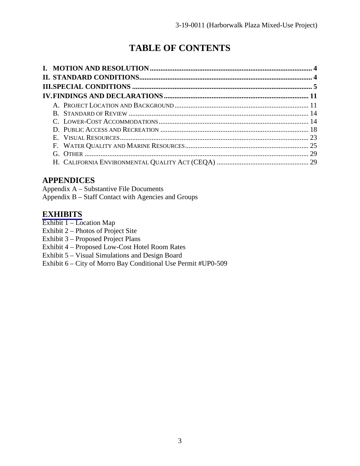# **TABLE OF CONTENTS**

# **APPENDICES**

Appendix A – Substantive File Documents Appendix B – Staff Contact with Agencies and Groups

# **[EXHIBITS](https://documents.coastal.ca.gov/reports/2019/5/w23a/w23a-5-2019-exhibits.pdf)**

- Exhibit 1 Location Map
- Exhibit 2 Photos of Project Site
- Exhibit 3 Proposed Project Plans
- Exhibit 4 Proposed Low-Cost Hotel Room Rates
- Exhibit 5 Visual Simulations and Design Board
- Exhibit 6 City of Morro Bay Conditional Use Permit #UP0-509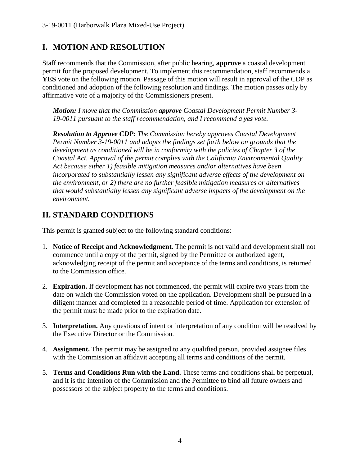# **I. MOTION AND RESOLUTION**

Staff recommends that the Commission, after public hearing, **approve** a coastal development permit for the proposed development. To implement this recommendation, staff recommends a **YES** vote on the following motion. Passage of this motion will result in approval of the CDP as conditioned and adoption of the following resolution and findings. The motion passes only by affirmative vote of a majority of the Commissioners present.

*Motion: I move that the Commission approve Coastal Development Permit Number 3- 19-0011 pursuant to the staff recommendation, and I recommend a yes vote.* 

*Resolution to Approve CDP: The Commission hereby approves Coastal Development Permit Number 3-19-0011 and adopts the findings set forth below on grounds that the development as conditioned will be in conformity with the policies of Chapter 3 of the Coastal Act. Approval of the permit complies with the California Environmental Quality Act because either 1) feasible mitigation measures and/or alternatives have been incorporated to substantially lessen any significant adverse effects of the development on the environment, or 2) there are no further feasible mitigation measures or alternatives that would substantially lessen any significant adverse impacts of the development on the environment.*

# **II. STANDARD CONDITIONS**

This permit is granted subject to the following standard conditions:

- 1. **Notice of Receipt and Acknowledgment**. The permit is not valid and development shall not commence until a copy of the permit, signed by the Permittee or authorized agent, acknowledging receipt of the permit and acceptance of the terms and conditions, is returned to the Commission office.
- 2. **Expiration.** If development has not commenced, the permit will expire two years from the date on which the Commission voted on the application. Development shall be pursued in a diligent manner and completed in a reasonable period of time. Application for extension of the permit must be made prior to the expiration date.
- 3. **Interpretation.** Any questions of intent or interpretation of any condition will be resolved by the Executive Director or the Commission.
- 4. **Assignment.** The permit may be assigned to any qualified person, provided assignee files with the Commission an affidavit accepting all terms and conditions of the permit.
- 5. **Terms and Conditions Run with the Land.** These terms and conditions shall be perpetual, and it is the intention of the Commission and the Permittee to bind all future owners and possessors of the subject property to the terms and conditions.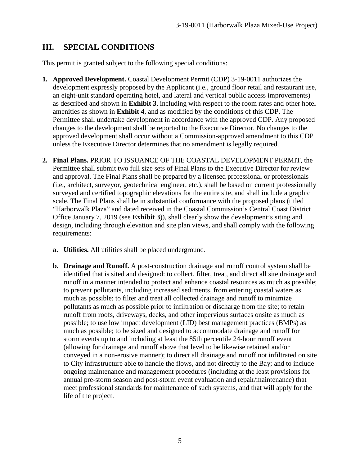# **III. SPECIAL CONDITIONS**

This permit is granted subject to the following special conditions:

- **1. Approved Development.** Coastal Development Permit (CDP) 3-19-0011 authorizes the development expressly proposed by the Applicant (i.e., ground floor retail and restaurant use, an eight-unit standard operating hotel, and lateral and vertical public access improvements) as described and shown in **Exhibit 3**, including with respect to the room rates and other hotel amenities as shown in **Exhibit 4**, and as modified by the conditions of this CDP. The Permittee shall undertake development in accordance with the approved CDP. Any proposed changes to the development shall be reported to the Executive Director. No changes to the approved development shall occur without a Commission-approved amendment to this CDP unless the Executive Director determines that no amendment is legally required.
- **2. Final Plans.** PRIOR TO ISSUANCE OF THE COASTAL DEVELOPMENT PERMIT, the Permittee shall submit two full size sets of Final Plans to the Executive Director for review and approval. The Final Plans shall be prepared by a licensed professional or professionals (i.e., architect, surveyor, geotechnical engineer, etc.), shall be based on current professionally surveyed and certified topographic elevations for the entire site, and shall include a graphic scale. The Final Plans shall be in substantial conformance with the proposed plans (titled "Harborwalk Plaza" and dated received in the Coastal Commission's Central Coast District Office January 7, 2019 (see **Exhibit 3**)), shall clearly show the development's siting and design, including through elevation and site plan views, and shall comply with the following requirements:
	- **a. Utilities.** All utilities shall be placed underground.
	- **b. Drainage and Runoff.** A post-construction drainage and runoff control system shall be identified that is sited and designed: to collect, filter, treat, and direct all site drainage and runoff in a manner intended to protect and enhance coastal resources as much as possible; to prevent pollutants, including increased sediments, from entering coastal waters as much as possible; to filter and treat all collected drainage and runoff to minimize pollutants as much as possible prior to infiltration or discharge from the site; to retain runoff from roofs, driveways, decks, and other impervious surfaces onsite as much as possible; to use low impact development (LID) best management practices (BMPs) as much as possible; to be sized and designed to accommodate drainage and runoff for storm events up to and including at least the 85th percentile 24-hour runoff event (allowing for drainage and runoff above that level to be likewise retained and/or conveyed in a non-erosive manner); to direct all drainage and runoff not infiltrated on site to City infrastructure able to handle the flows, and not directly to the Bay; and to include ongoing maintenance and management procedures (including at the least provisions for annual pre-storm season and post-storm event evaluation and repair/maintenance) that meet professional standards for maintenance of such systems, and that will apply for the life of the project.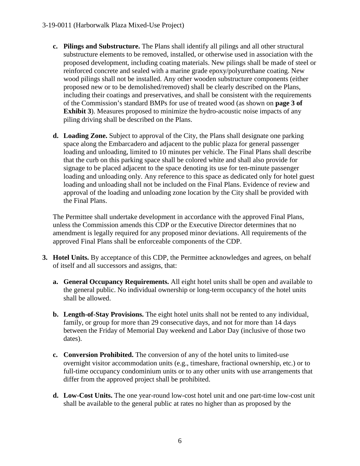- **c. Pilings and Substructure.** The Plans shall identify all pilings and all other structural substructure elements to be removed, installed, or otherwise used in association with the proposed development, including coating materials. New pilings shall be made of steel or reinforced concrete and sealed with a marine grade epoxy/polyurethane coating. New wood pilings shall not be installed. Any other wooden substructure components (either proposed new or to be demolished/removed) shall be clearly described on the Plans, including their coatings and preservatives, and shall be consistent with the requirements of the Commission's standard BMPs for use of treated wood (as shown on **page 3 of Exhibit 3**). Measures proposed to minimize the hydro-acoustic noise impacts of any piling driving shall be described on the Plans.
- **d. Loading Zone.** Subject to approval of the City, the Plans shall designate one parking space along the Embarcadero and adjacent to the public plaza for general passenger loading and unloading, limited to 10 minutes per vehicle. The Final Plans shall describe that the curb on this parking space shall be colored white and shall also provide for signage to be placed adjacent to the space denoting its use for ten-minute passenger loading and unloading only. Any reference to this space as dedicated only for hotel guest loading and unloading shall not be included on the Final Plans. Evidence of review and approval of the loading and unloading zone location by the City shall be provided with the Final Plans.

The Permittee shall undertake development in accordance with the approved Final Plans, unless the Commission amends this CDP or the Executive Director determines that no amendment is legally required for any proposed minor deviations. All requirements of the approved Final Plans shall be enforceable components of the CDP.

- **3. Hotel Units.** By acceptance of this CDP, the Permittee acknowledges and agrees, on behalf of itself and all successors and assigns, that:
	- **a. General Occupancy Requirements.** All eight hotel units shall be open and available to the general public. No individual ownership or long-term occupancy of the hotel units shall be allowed.
	- **b. Length-of-Stay Provisions.** The eight hotel units shall not be rented to any individual, family, or group for more than 29 consecutive days, and not for more than 14 days between the Friday of Memorial Day weekend and Labor Day (inclusive of those two dates).
	- **c. Conversion Prohibited.** The conversion of any of the hotel units to limited-use overnight visitor accommodation units (e.g., timeshare, fractional ownership, etc.) or to full-time occupancy condominium units or to any other units with use arrangements that differ from the approved project shall be prohibited.
	- **d. Low-Cost Units.** The one year-round low-cost hotel unit and one part-time low-cost unit shall be available to the general public at rates no higher than as proposed by the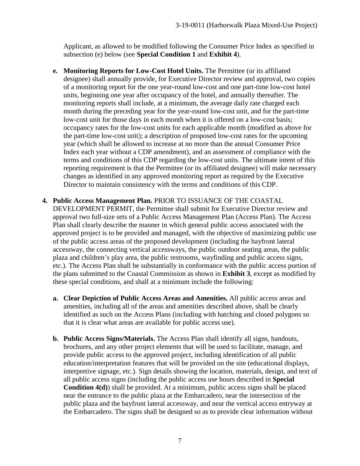Applicant, as allowed to be modified following the Consumer Price Index as specified in subsection (e) below (see **Special Condition 1** and **Exhibit 4**).

- **e. Monitoring Reports for Low-Cost Hotel Units.** The Permittee (or its affiliated designee) shall annually provide, for Executive Director review and approval, two copies of a monitoring report for the one year-round low-cost and one part-time low-cost hotel units, beginning one year after occupancy of the hotel, and annually thereafter. The monitoring reports shall include, at a minimum, the average daily rate charged each month during the preceding year for the year-round low-cost unit, and for the part-time low-cost unit for those days in each month when it is offered on a low-cost basis; occupancy rates for the low-cost units for each applicable month (modified as above for the part-time low-cost unit); a description of proposed low-cost rates for the upcoming year (which shall be allowed to increase at no more than the annual Consumer Price Index each year without a CDP amendment), and an assessment of compliance with the terms and conditions of this CDP regarding the low-cost units. The ultimate intent of this reporting requirement is that the Permittee (or its affiliated designee) will make necessary changes as identified in any approved monitoring report as required by the Executive Director to maintain consistency with the terms and conditions of this CDP.
- **4. Public Access Management Plan.** PRIOR TO ISSUANCE OF THE COASTAL DEVELOPMENT PERMIT, the Permittee shall submit for Executive Director review and approval two full-size sets of a Public Access Management Plan (Access Plan). The Access Plan shall clearly describe the manner in which general public access associated with the approved project is to be provided and managed, with the objective of maximizing public use of the public access areas of the proposed development (including the bayfront lateral accessway, the connecting vertical accessways, the public outdoor seating areas, the public plaza and children's play area, the public restrooms, wayfinding and public access signs, etc.). The Access Plan shall be substantially in conformance with the public access portion of the plans submitted to the Coastal Commission as shown in **Exhibit 3**, except as modified by these special conditions, and shall at a minimum include the following:
	- **a. Clear Depiction of Public Access Areas and Amenities.** All public access areas and amenities, including all of the areas and amenities described above, shall be clearly identified as such on the Access Plans (including with hatching and closed polygons so that it is clear what areas are available for public access use).
	- **b. Public Access Signs/Materials.** The Access Plan shall identify all signs, handouts, brochures, and any other project elements that will be used to facilitate, manage, and provide public access to the approved project, including identification of all public education/interpretation features that will be provided on the site (educational displays, interpretive signage, etc.). Sign details showing the location, materials, design, and text of all public access signs (including the public access use hours described in **Special Condition 4(d)**) shall be provided. At a minimum, public access signs shall be placed near the entrance to the public plaza at the Embarcadero, near the intersection of the public plaza and the bayfront lateral accessway, and near the vertical access entryway at the Embarcadero. The signs shall be designed so as to provide clear information without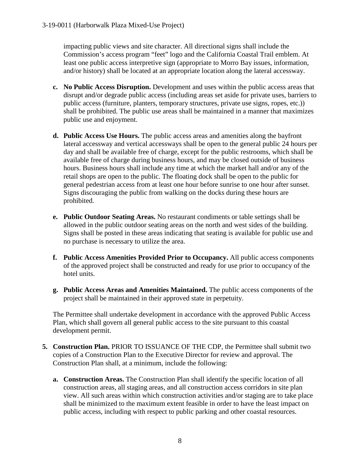impacting public views and site character. All directional signs shall include the Commission's access program "feet" logo and the California Coastal Trail emblem. At least one public access interpretive sign (appropriate to Morro Bay issues, information, and/or history) shall be located at an appropriate location along the lateral accessway.

- **c. No Public Access Disruption.** Development and uses within the public access areas that disrupt and/or degrade public access (including areas set aside for private uses, barriers to public access (furniture, planters, temporary structures, private use signs, ropes, etc.)) shall be prohibited. The public use areas shall be maintained in a manner that maximizes public use and enjoyment.
- **d. Public Access Use Hours.** The public access areas and amenities along the bayfront lateral accessway and vertical accessways shall be open to the general public 24 hours per day and shall be available free of charge, except for the public restrooms, which shall be available free of charge during business hours, and may be closed outside of business hours. Business hours shall include any time at which the market hall and/or any of the retail shops are open to the public. The floating dock shall be open to the public for general pedestrian access from at least one hour before sunrise to one hour after sunset. Signs discouraging the public from walking on the docks during these hours are prohibited.
- **e. Public Outdoor Seating Areas.** No restaurant condiments or table settings shall be allowed in the public outdoor seating areas on the north and west sides of the building. Signs shall be posted in these areas indicating that seating is available for public use and no purchase is necessary to utilize the area.
- **f. Public Access Amenities Provided Prior to Occupancy.** All public access components of the approved project shall be constructed and ready for use prior to occupancy of the hotel units.
- **g. Public Access Areas and Amenities Maintained.** The public access components of the project shall be maintained in their approved state in perpetuity.

The Permittee shall undertake development in accordance with the approved Public Access Plan, which shall govern all general public access to the site pursuant to this coastal development permit.

- **5. Construction Plan.** PRIOR TO ISSUANCE OF THE CDP, the Permittee shall submit two copies of a Construction Plan to the Executive Director for review and approval. The Construction Plan shall, at a minimum, include the following:
	- **a. Construction Areas.** The Construction Plan shall identify the specific location of all construction areas, all staging areas, and all construction access corridors in site plan view. All such areas within which construction activities and/or staging are to take place shall be minimized to the maximum extent feasible in order to have the least impact on public access, including with respect to public parking and other coastal resources.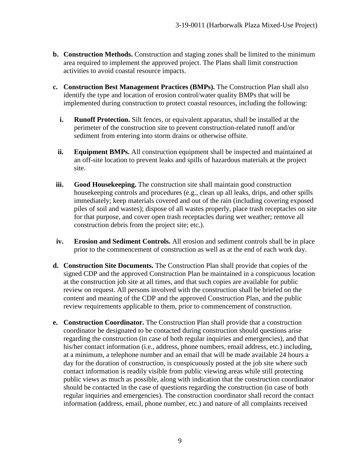- **b. Construction Methods.** Construction and staging zones shall be limited to the minimum area required to implement the approved project. The Plans shall limit construction activities to avoid coastal resource impacts.
- **c. Construction Best Management Practices (BMPs).** The Construction Plan shall also identify the type and location of erosion control/water quality BMPs that will be implemented during construction to protect coastal resources, including the following:
	- **i. Runoff Protection.** Silt fences, or equivalent apparatus, shall be installed at the perimeter of the construction site to prevent construction-related runoff and/or sediment from entering into storm drains or otherwise offsite.
	- **ii. Equipment BMPs.** All construction equipment shall be inspected and maintained at an off-site location to prevent leaks and spills of hazardous materials at the project site.
- **iii. Good Housekeeping.** The construction site shall maintain good construction housekeeping controls and procedures (e.g., clean up all leaks, drips, and other spills immediately; keep materials covered and out of the rain (including covering exposed piles of soil and wastes); dispose of all wastes properly, place trash receptacles on site for that purpose, and cover open trash receptacles during wet weather; remove all construction debris from the project site; etc.).
- **iv. Erosion and Sediment Controls.** All erosion and sediment controls shall be in place prior to the commencement of construction as well as at the end of each work day.
- **d. Construction Site Documents.** The Construction Plan shall provide that copies of the signed CDP and the approved Construction Plan be maintained in a conspicuous location at the construction job site at all times, and that such copies are available for public review on request. All persons involved with the construction shall be briefed on the content and meaning of the CDP and the approved Construction Plan, and the public review requirements applicable to them, prior to commencement of construction.
- **e. Construction Coordinator.** The Construction Plan shall provide that a construction coordinator be designated to be contacted during construction should questions arise regarding the construction (in case of both regular inquiries and emergencies), and that his/her contact information (i.e., address, phone numbers, email address, etc.) including, at a minimum, a telephone number and an email that will be made available 24 hours a day for the duration of construction, is conspicuously posted at the job site where such contact information is readily visible from public viewing areas while still protecting public views as much as possible, along with indication that the construction coordinator should be contacted in the case of questions regarding the construction (in case of both regular inquiries and emergencies). The construction coordinator shall record the contact information (address, email, phone number, etc.) and nature of all complaints received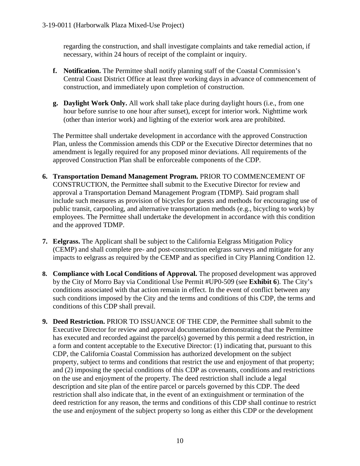regarding the construction, and shall investigate complaints and take remedial action, if necessary, within 24 hours of receipt of the complaint or inquiry.

- **f. Notification.** The Permittee shall notify planning staff of the Coastal Commission's Central Coast District Office at least three working days in advance of commencement of construction, and immediately upon completion of construction.
- **g. Daylight Work Only.** All work shall take place during daylight hours (i.e., from one hour before sunrise to one hour after sunset), except for interior work. Nighttime work (other than interior work) and lighting of the exterior work area are prohibited.

The Permittee shall undertake development in accordance with the approved Construction Plan, unless the Commission amends this CDP or the Executive Director determines that no amendment is legally required for any proposed minor deviations. All requirements of the approved Construction Plan shall be enforceable components of the CDP.

- **6. Transportation Demand Management Program.** PRIOR TO COMMENCEMENT OF CONSTRUCTION, the Permittee shall submit to the Executive Director for review and approval a Transportation Demand Management Program (TDMP). Said program shall include such measures as provision of bicycles for guests and methods for encouraging use of public transit, carpooling, and alternative transportation methods (e.g., bicycling to work) by employees. The Permittee shall undertake the development in accordance with this condition and the approved TDMP.
- **7. Eelgrass.** The Applicant shall be subject to the California Eelgrass Mitigation Policy (CEMP) and shall complete pre- and post-construction eelgrass surveys and mitigate for any impacts to eelgrass as required by the CEMP and as specified in City Planning Condition 12.
- **8. Compliance with Local Conditions of Approval.** The proposed development was approved by the City of Morro Bay via Conditional Use Permit #UP0-509 (see **Exhibit 6**). The City's conditions associated with that action remain in effect. In the event of conflict between any such conditions imposed by the City and the terms and conditions of this CDP, the terms and conditions of this CDP shall prevail.
- **9. Deed Restriction.** PRIOR TO ISSUANCE OF THE CDP, the Permittee shall submit to the Executive Director for review and approval documentation demonstrating that the Permittee has executed and recorded against the parcel(s) governed by this permit a deed restriction, in a form and content acceptable to the Executive Director: (1) indicating that, pursuant to this CDP, the California Coastal Commission has authorized development on the subject property, subject to terms and conditions that restrict the use and enjoyment of that property; and (2) imposing the special conditions of this CDP as covenants, conditions and restrictions on the use and enjoyment of the property. The deed restriction shall include a legal description and site plan of the entire parcel or parcels governed by this CDP. The deed restriction shall also indicate that, in the event of an extinguishment or termination of the deed restriction for any reason, the terms and conditions of this CDP shall continue to restrict the use and enjoyment of the subject property so long as either this CDP or the development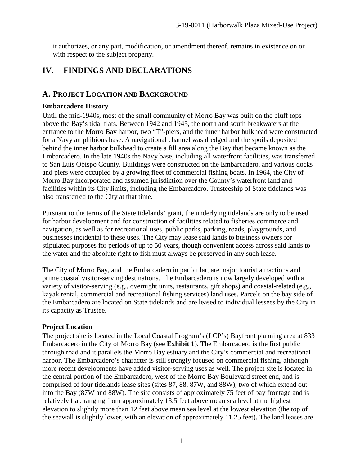it authorizes, or any part, modification, or amendment thereof, remains in existence on or with respect to the subject property.

# **IV. FINDINGS AND DECLARATIONS**

## **A. PROJECT LOCATION AND BACKGROUND**

#### **Embarcadero History**

Until the mid-1940s, most of the small community of Morro Bay was built on the bluff tops above the Bay's tidal flats. Between 1942 and 1945, the north and south breakwaters at the entrance to the Morro Bay harbor, two "T"-piers, and the inner harbor bulkhead were constructed for a Navy amphibious base. A navigational channel was dredged and the spoils deposited behind the inner harbor bulkhead to create a fill area along the Bay that became known as the Embarcadero. In the late 1940s the Navy base, including all waterfront facilities, was transferred to San Luis Obispo County. Buildings were constructed on the Embarcadero, and various docks and piers were occupied by a growing fleet of commercial fishing boats. In 1964, the City of Morro Bay incorporated and assumed jurisdiction over the County's waterfront land and facilities within its City limits, including the Embarcadero. Trusteeship of State tidelands was also transferred to the City at that time.

Pursuant to the terms of the State tidelands' grant, the underlying tidelands are only to be used for harbor development and for construction of facilities related to fisheries commerce and navigation, as well as for recreational uses, public parks, parking, roads, playgrounds, and businesses incidental to these uses. The City may lease said lands to business owners for stipulated purposes for periods of up to 50 years, though convenient access across said lands to the water and the absolute right to fish must always be preserved in any such lease.

The City of Morro Bay, and the Embarcadero in particular, are major tourist attractions and prime coastal visitor-serving destinations. The Embarcadero is now largely developed with a variety of visitor-serving (e.g., overnight units, restaurants, gift shops) and coastal-related (e.g., kayak rental, commercial and recreational fishing services) land uses. Parcels on the bay side of the Embarcadero are located on State tidelands and are leased to individual lessees by the City in its capacity as Trustee.

### **Project Location**

The project site is located in the Local Coastal Program's (LCP's) Bayfront planning area at 833 Embarcadero in the City of Morro Bay (see **Exhibit 1**). The Embarcadero is the first public through road and it parallels the Morro Bay estuary and the City's commercial and recreational harbor. The Embarcadero's character is still strongly focused on commercial fishing, although more recent developments have added visitor-serving uses as well. The project site is located in the central portion of the Embarcadero, west of the Morro Bay Boulevard street end, and is comprised of four tidelands lease sites (sites 87, 88, 87W, and 88W), two of which extend out into the Bay (87W and 88W). The site consists of approximately 75 feet of bay frontage and is relatively flat, ranging from approximately 13.5 feet above mean sea level at the highest elevation to slightly more than 12 feet above mean sea level at the lowest elevation (the top of the seawall is slightly lower, with an elevation of approximately 11.25 feet). The land leases are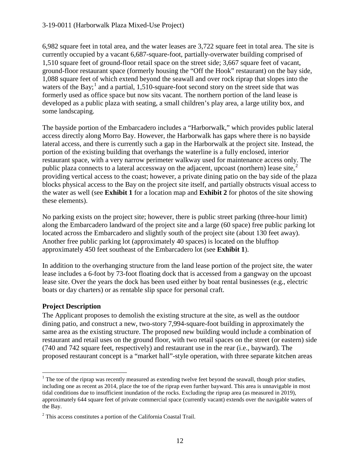6,982 square feet in total area, and the water leases are 3,722 square feet in total area. The site is currently occupied by a vacant 6,687-square-foot, partially-overwater building comprised of 1,510 square feet of ground-floor retail space on the street side; 3,667 square feet of vacant, ground-floor restaurant space (formerly housing the "Off the Hook" restaurant) on the bay side, 1,088 square feet of which extend beyond the seawall and over rock riprap that slopes into the waters of the Bay;<sup>[1](#page-11-0)</sup> and a partial, 1,510-square-foot second story on the street side that was formerly used as office space but now sits vacant. The northern portion of the land lease is developed as a public plaza with seating, a small children's play area, a large utility box, and some landscaping.

The bayside portion of the Embarcadero includes a "Harborwalk," which provides public lateral access directly along Morro Bay. However, the Harborwalk has gaps where there is no bayside lateral access, and there is currently such a gap in the Harborwalk at the project site. Instead, the portion of the existing building that overhangs the waterline is a fully enclosed, interior restaurant space, with a very narrow perimeter walkway used for maintenance access only. The public plaza connects to a lateral accessway on the adjacent, upcoast (northern) lease site,  $2\pi$  $2\pi$ providing vertical access to the coast; however, a private dining patio on the bay side of the plaza blocks physical access to the Bay on the project site itself, and partially obstructs visual access to the water as well (see **Exhibit 1** for a location map and **Exhibit 2** for photos of the site showing these elements).

No parking exists on the project site; however, there is public street parking (three-hour limit) along the Embarcadero landward of the project site and a large (60 space) free public parking lot located across the Embarcadero and slightly south of the project site (about 130 feet away). Another free public parking lot (approximately 40 spaces) is located on the blufftop approximately 450 feet southeast of the Embarcadero lot (see **Exhibit 1**).

In addition to the overhanging structure from the land lease portion of the project site, the water lease includes a 6-foot by 73-foot floating dock that is accessed from a gangway on the upcoast lease site. Over the years the dock has been used either by boat rental businesses (e.g., electric boats or day charters) or as rentable slip space for personal craft.

## **Project Description**

The Applicant proposes to demolish the existing structure at the site, as well as the outdoor dining patio, and construct a new, two-story 7,994-square-foot building in approximately the same area as the existing structure. The proposed new building would include a combination of restaurant and retail uses on the ground floor, with two retail spaces on the street (or eastern) side (740 and 742 square feet, respectively) and restaurant use in the rear (i.e., bayward). The proposed restaurant concept is a "market hall"-style operation, with three separate kitchen areas

<span id="page-11-0"></span> $1$  The toe of the riprap was recently measured as extending twelve feet beyond the seawall, though prior studies, including one as recent as 2014, place the toe of the riprap even further bayward. This area is unnavigable in most tidal conditions due to insufficient inundation of the rocks. Excluding the riprap area (as measured in 2019), approximately 644 square feet of private commercial space (currently vacant) extends over the navigable waters of the Bay.

<span id="page-11-1"></span><sup>&</sup>lt;sup>2</sup> This access constitutes a portion of the California Coastal Trail.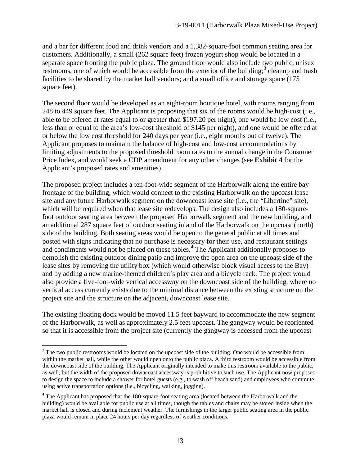and a bar for different food and drink vendors and a 1,382-square-foot common seating area for customers. Additionally, a small (262 square feet) frozen yogurt shop would be located in a separate space fronting the public plaza. The ground floor would also include two public, unisex restrooms, one of which would be accessible from the exterior of the building;<sup>[3](#page-12-0)</sup> cleanup and trash facilities to be shared by the market hall vendors; and a small office and storage space (175) square feet).

The second floor would be developed as an eight-room boutique hotel, with rooms ranging from 248 to 449 square feet. The Applicant is proposing that six of the rooms would be high-cost (i.e., able to be offered at rates equal to or greater than \$197.20 per night), one would be low cost (i.e., less than or equal to the area's low-cost threshold of \$145 per night), and one would be offered at or below the low cost threshold for 240 days per year (i.e., eight months out of twelve). The Applicant proposes to maintain the balance of high-cost and low-cost accommodations by limiting adjustments to the proposed threshold room rates to the annual change in the Consumer Price Index, and would seek a CDP amendment for any other changes (see **Exhibit 4** for the Applicant's proposed rates and amenities).

The proposed project includes a ten-foot-wide segment of the Harborwalk along the entire bay frontage of the building, which would connect to the existing Harborwalk on the upcoast lease site and any future Harborwalk segment on the downcoast lease site (i.e., the "Libertine" site), which will be required when that lease site redevelops. The design also includes a 180-squarefoot outdoor seating area between the proposed Harborwalk segment and the new building, and an additional 287 square feet of outdoor seating inland of the Harborwalk on the upcoast (north) side of the building. Both seating areas would be open to the general public at all times and posted with signs indicating that no purchase is necessary for their use, and restaurant settings and condiments would not be placed on these tables.<sup>[4](#page-12-1)</sup> The Applicant additionally proposes to demolish the existing outdoor dining patio and improve the open area on the upcoast side of the lease sites by removing the utility box (which would otherwise block visual access to the Bay) and by adding a new marine-themed children's play area and a bicycle rack. The project would also provide a five-foot-wide vertical accessway on the downcoast side of the building, where no vertical access currently exists due to the minimal distance between the existing structure on the project site and the structure on the adjacent, downcoast lease site.

The existing floating dock would be moved 11.5 feet bayward to accommodate the new segment of the Harborwalk, as well as approximately 2.5 feet upcoast. The gangway would be reoriented so that it is accessible from the project site (currently the gangway is accessed from the upcoast

<span id="page-12-0"></span><sup>&</sup>lt;sup>3</sup> The two public restrooms would be located on the upcoast side of the building. One would be accessible from within the market hall, while the other would open onto the public plaza. A third restroom would be accessible from the downcoast side of the building. The Applicant originally intended to make this restroom available to the public, as well, but the width of the proposed downcoast accessway is prohibitive to such use. The Applicant now proposes to design the space to include a shower for hotel guests (e.g., to wash off beach sand) and employees who commute using active transportation options (i.e., bicycling, walking, jogging).

<span id="page-12-1"></span><sup>&</sup>lt;sup>4</sup> The Applicant has proposed that the 180-square-foot seating area (located between the Harborwalk and the building) would be available for public use at all times, though the tables and chairs may be stored inside when the market hall is closed and during inclement weather. The furnishings in the larger public seating area in the public plaza would remain in place 24 hours per day regardless of weather conditions.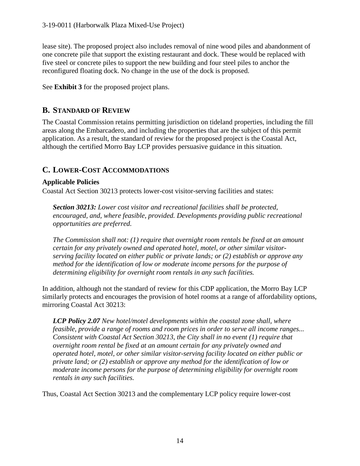lease site). The proposed project also includes removal of nine wood piles and abandonment of one concrete pile that support the existing restaurant and dock. These would be replaced with five steel or concrete piles to support the new building and four steel piles to anchor the reconfigured floating dock. No change in the use of the dock is proposed.

See **Exhibit 3** for the proposed project plans.

# **B. STANDARD OF REVIEW**

The Coastal Commission retains permitting jurisdiction on tideland properties, including the fill areas along the Embarcadero, and including the properties that are the subject of this permit application. As a result, the standard of review for the proposed project is the Coastal Act, although the certified Morro Bay LCP provides persuasive guidance in this situation.

# **C. LOWER-COST ACCOMMODATIONS**

### **Applicable Policies**

Coastal Act Section 30213 protects lower-cost visitor-serving facilities and states:

*Section 30213: Lower cost visitor and recreational facilities shall be protected, encouraged, and, where feasible, provided. Developments providing public recreational opportunities are preferred.*

*The Commission shall not: (1) require that overnight room rentals be fixed at an amount certain for any privately owned and operated hotel, motel, or other similar visitorserving facility located on either public or private lands; or (2) establish or approve any method for the identification of low or moderate income persons for the purpose of determining eligibility for overnight room rentals in any such facilities.*

In addition, although not the standard of review for this CDP application, the Morro Bay LCP similarly protects and encourages the provision of hotel rooms at a range of affordability options, mirroring Coastal Act 30213:

*LCP Policy 2.07 New hotel/motel developments within the coastal zone shall, where feasible, provide a range of rooms and room prices in order to serve all income ranges... Consistent with Coastal Act Section 30213, the City shall in no event (1) require that overnight room rental be fixed at an amount certain for any privately owned and operated hotel, motel, or other similar visitor-serving facility located on either public or private land; or (2) establish or approve any method for the identification of low or moderate income persons for the purpose of determining eligibility for overnight room rentals in any such facilities.*

Thus, Coastal Act Section 30213 and the complementary LCP policy require lower-cost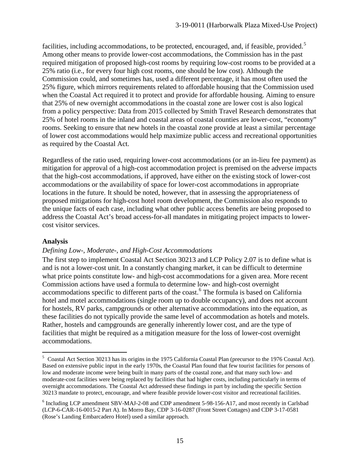facilities, including accommodations, to be protected, encouraged, and, if feasible, provided.<sup>[5](#page-14-0)</sup> Among other means to provide lower-cost accommodations, the Commission has in the past required mitigation of proposed high-cost rooms by requiring low-cost rooms to be provided at a 25% ratio (i.e., for every four high cost rooms, one should be low cost). Although the Commission could, and sometimes has, used a different percentage, it has most often used the 25% figure, which mirrors requirements related to affordable housing that the Commission used when the Coastal Act required it to protect and provide for affordable housing. Aiming to ensure that 25% of new overnight accommodations in the coastal zone are lower cost is also logical from a policy perspective: Data from 2015 collected by Smith Travel Research demonstrates that 25% of hotel rooms in the inland and coastal areas of coastal counties are lower-cost, "economy" rooms. Seeking to ensure that new hotels in the coastal zone provide at least a similar percentage of lower cost accommodations would help maximize public access and recreational opportunities as required by the Coastal Act.

Regardless of the ratio used, requiring lower-cost accommodations (or an in-lieu fee payment) as mitigation for approval of a high-cost accommodation project is premised on the adverse impacts that the high-cost accommodations, if approved, have either on the existing stock of lower-cost accommodations or the availability of space for lower-cost accommodations in appropriate locations in the future. It should be noted, however, that in assessing the appropriateness of proposed mitigations for high-cost hotel room development, the Commission also responds to the unique facts of each case, including what other public access benefits are being proposed to address the Coastal Act's broad access-for-all mandates in mitigating project impacts to lowercost visitor services.

#### **Analysis**

#### *Defining Low-, Moderate-, and High-Cost Accommodations*

The first step to implement Coastal Act Section 30213 and LCP Policy 2.07 is to define what is and is not a lower-cost unit. In a constantly changing market, it can be difficult to determine what price points constitute low- and high-cost accommodations for a given area. More recent Commission actions have used a formula to determine low- and high-cost overnight accommodations specific to different parts of the coast.<sup>[6](#page-14-1)</sup> The formula is based on California hotel and motel accommodations (single room up to double occupancy), and does not account for hostels, RV parks, campgrounds or other alternative accommodations into the equation, as these facilities do not typically provide the same level of accommodation as hotels and motels. Rather, hostels and campgrounds are generally inherently lower cost, and are the type of facilities that might be required as a mitigation measure for the loss of lower-cost overnight accommodations.

<span id="page-14-0"></span> <sup>5</sup> Coastal Act Section 30213 has its origins in the 1975 California Coastal Plan (precursor to the 1976 Coastal Act). Based on extensive public input in the early 1970s, the Coastal Plan found that few tourist facilities for persons of low and moderate income were being built in many parts of the coastal zone, and that many such low- and moderate-cost facilities were being replaced by facilities that had higher costs, including particularly in terms of overnight accommodations. The Coastal Act addressed these findings in part by including the specific Section 30213 mandate to protect, encourage, and where feasible provide lower-cost visitor and recreational facilities.

<span id="page-14-1"></span><sup>6</sup> Including LCP amendment SBV-MAJ-2-08 and CDP amendment 5-98-156-A17, and most recently in Carlsbad (LCP-6-CAR-16-0015-2 Part A). In Morro Bay, CDP 3-16-0287 (Front Street Cottages) and CDP 3-17-0581 (Rose's Landing Embarcadero Hotel) used a similar approach.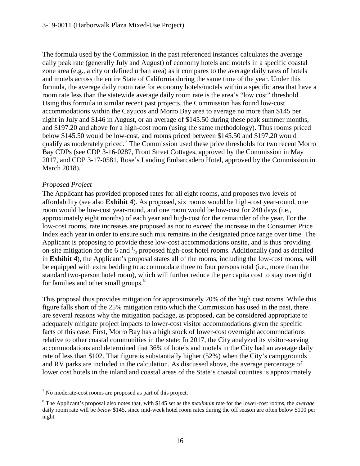The formula used by the Commission in the past referenced instances calculates the average daily peak rate (generally July and August) of economy hotels and motels in a specific coastal zone area (e.g., a city or defined urban area) as it compares to the average daily rates of hotels and motels across the entire State of California during the same time of the year. Under this formula, the average daily room rate for economy hotels/motels within a specific area that have a room rate less than the statewide average daily room rate is the area's "low cost" threshold. Using this formula in similar recent past projects, the Commission has found low-cost accommodations within the Cayucos and Morro Bay area to average no more than \$145 per night in July and \$146 in August, or an average of \$145.50 during these peak summer months, and \$197.20 and above for a high-cost room (using the same methodology). Thus rooms priced below \$145.50 would be low-cost, and rooms priced between \$145.50 and \$197.20 would qualify as moderately priced.<sup>[7](#page-15-0)</sup> The Commission used these price thresholds for two recent Morro Bay CDPs (see CDP 3-16-0287, Front Street Cottages, approved by the Commission in May 2017, and CDP 3-17-0581, Rose's Landing Embarcadero Hotel, approved by the Commission in March 2018).

### *Proposed Project*

The Applicant has provided proposed rates for all eight rooms, and proposes two levels of affordability (see also **Exhibit 4**). As proposed, six rooms would be high-cost year-round, one room would be low-cost year-round, and one room would be low-cost for 240 days (i.e., approximately eight months) of each year and high-cost for the remainder of the year. For the low-cost rooms, rate increases are proposed as not to exceed the increase in the Consumer Price Index each year in order to ensure such mix remains in the designated price range over time. The Applicant is proposing to provide these low-cost accommodations onsite, and is thus providing on-site mitigation for the 6 and  $\frac{1}{3}$  proposed high-cost hotel rooms. Additionally (and as detailed in **Exhibit 4**), the Applicant's proposal states all of the rooms, including the low-cost rooms, will be equipped with extra bedding to accommodate three to four persons total (i.e., more than the standard two-person hotel room), which will further reduce the per capita cost to stay overnight for families and other small groups.<sup>[8](#page-15-1)</sup>

This proposal thus provides mitigation for approximately 20% of the high cost rooms. While this figure falls short of the 25% mitigation ratio which the Commission has used in the past, there are several reasons why the mitigation package, as proposed, can be considered appropriate to adequately mitigate project impacts to lower-cost visitor accommodations given the specific facts of this case. First, Morro Bay has a high stock of lower-cost overnight accommodations relative to other coastal communities in the state: In 2017, the City analyzed its visitor-serving accommodations and determined that 36% of hotels and motels in the City had an average daily rate of less than \$102. That figure is substantially higher (52%) when the City's campgrounds and RV parks are included in the calculation. As discussed above, the average percentage of lower cost hotels in the inland and coastal areas of the State's coastal counties is approximately

<span id="page-15-0"></span> $<sup>7</sup>$  No moderate-cost rooms are proposed as part of this project.</sup>

<span id="page-15-1"></span><sup>8</sup> The Applicant's proposal also notes that, with \$145 set as the *maximum* rate for the lower-cost rooms, the *average* daily room rate will be *below* \$145, since mid-week hotel room rates during the off season are often below \$100 per night.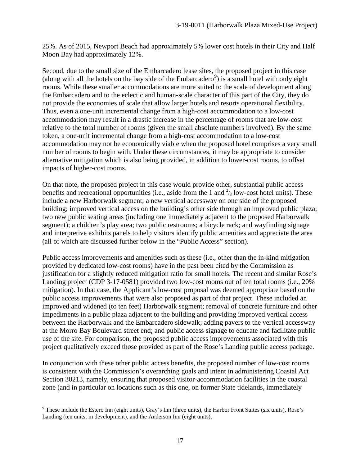25%. As of 2015, Newport Beach had approximately 5% lower cost hotels in their City and Half Moon Bay had approximately 12%.

Second, due to the small size of the Embarcadero lease sites, the proposed project in this case (along with all the hotels on the bay side of the Embarcadero<sup>[9](#page-16-0)</sup>) is a small hotel with only eight rooms. While these smaller accommodations are more suited to the scale of development along the Embarcadero and to the eclectic and human-scale character of this part of the City, they do not provide the economies of scale that allow larger hotels and resorts operational flexibility. Thus, even a one-unit incremental change from a high-cost accommodation to a low-cost accommodation may result in a drastic increase in the percentage of rooms that are low-cost relative to the total number of rooms (given the small absolute numbers involved). By the same token, a one-unit incremental change from a high-cost accommodation to a low-cost accommodation may not be economically viable when the proposed hotel comprises a very small number of rooms to begin with. Under these circumstances, it may be appropriate to consider alternative mitigation which is also being provided, in addition to lower-cost rooms, to offset impacts of higher-cost rooms.

On that note, the proposed project in this case would provide other, substantial public access benefits and recreational opportunities (i.e., aside from the 1 and  $\frac{2}{3}$  low-cost hotel units). These include a new Harborwalk segment; a new vertical accessway on one side of the proposed building; improved vertical access on the building's other side through an improved public plaza; two new public seating areas (including one immediately adjacent to the proposed Harborwalk segment); a children's play area; two public restrooms; a bicycle rack; and wayfinding signage and interpretive exhibits panels to help visitors identify public amenities and appreciate the area (all of which are discussed further below in the "Public Access" section).

Public access improvements and amenities such as these (i.e., other than the in-kind mitigation provided by dedicated low-cost rooms) have in the past been cited by the Commission as justification for a slightly reduced mitigation ratio for small hotels. The recent and similar Rose's Landing project (CDP 3-17-0581) provided two low-cost rooms out of ten total rooms (i.e., 20% mitigation). In that case, the Applicant's low-cost proposal was deemed appropriate based on the public access improvements that were also proposed as part of that project. These included an improved and widened (to ten feet) Harborwalk segment; removal of concrete furniture and other impediments in a public plaza adjacent to the building and providing improved vertical access between the Harborwalk and the Embarcadero sidewalk; adding pavers to the vertical accessway at the Morro Bay Boulevard street end; and public access signage to educate and facilitate public use of the site. For comparison, the proposed public access improvements associated with this project qualitatively exceed those provided as part of the Rose's Landing public access package.

In conjunction with these other public access benefits, the proposed number of low-cost rooms is consistent with the Commission's overarching goals and intent in administering Coastal Act Section 30213, namely, ensuring that proposed visitor-accommodation facilities in the coastal zone (and in particular on locations such as this one, on former State tidelands, immediately

<span id="page-16-0"></span> <sup>9</sup> These include the Estero Inn (eight units), Gray's Inn (three units), the Harbor Front Suites (six units), Rose's Landing (ten units; in development), and the Anderson Inn (eight units).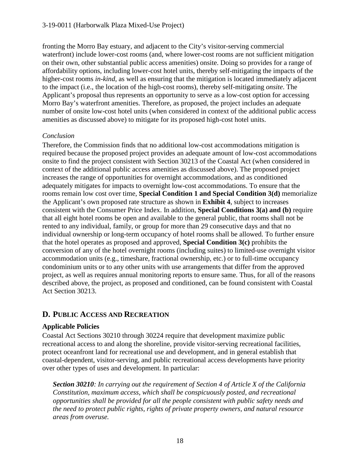fronting the Morro Bay estuary, and adjacent to the City's visitor-serving commercial waterfront) include lower-cost rooms (and, where lower-cost rooms are not sufficient mitigation on their own, other substantial public access amenities) onsite. Doing so provides for a range of affordability options, including lower-cost hotel units, thereby self-mitigating the impacts of the higher-cost rooms *in-kind*, as well as ensuring that the mitigation is located immediately adjacent to the impact (i.e., the location of the high-cost rooms), thereby self-mitigating *onsite*. The Applicant's proposal thus represents an opportunity to serve as a low-cost option for accessing Morro Bay's waterfront amenities. Therefore, as proposed, the project includes an adequate number of onsite low-cost hotel units (when considered in context of the additional public access amenities as discussed above) to mitigate for its proposed high-cost hotel units.

### *Conclusion*

Therefore, the Commission finds that no additional low-cost accommodations mitigation is required because the proposed project provides an adequate amount of low-cost accommodations onsite to find the project consistent with Section 30213 of the Coastal Act (when considered in context of the additional public access amenities as discussed above). The proposed project increases the range of opportunities for overnight accommodations, and as conditioned adequately mitigates for impacts to overnight low-cost accommodations. To ensure that the rooms remain low cost over time, **Special Condition 1 and Special Condition 3(d)** memorialize the Applicant's own proposed rate structure as shown in **Exhibit 4**, subject to increases consistent with the Consumer Price Index. In addition, **Special Conditions 3(a) and (b)** require that all eight hotel rooms be open and available to the general public, that rooms shall not be rented to any individual, family, or group for more than 29 consecutive days and that no individual ownership or long-term occupancy of hotel rooms shall be allowed. To further ensure that the hotel operates as proposed and approved, **Special Condition 3(c)** prohibits the conversion of any of the hotel overnight rooms (including suites) to limited-use overnight visitor accommodation units (e.g., timeshare, fractional ownership, etc.) or to full-time occupancy condominium units or to any other units with use arrangements that differ from the approved project, as well as requires annual monitoring reports to ensure same. Thus, for all of the reasons described above, the project, as proposed and conditioned, can be found consistent with Coastal Act Section 30213.

## **D. PUBLIC ACCESS AND RECREATION**

### **Applicable Policies**

Coastal Act Sections 30210 through 30224 require that development maximize public recreational access to and along the shoreline, provide visitor-serving recreational facilities, protect oceanfront land for recreational use and development, and in general establish that coastal-dependent, visitor-serving, and public recreational access developments have priority over other types of uses and development. In particular:

*Section 30210: In carrying out the requirement of Section 4 of Article X of the California Constitution, maximum access, which shall be conspicuously posted, and recreational opportunities shall be provided for all the people consistent with public safety needs and the need to protect public rights, rights of private property owners, and natural resource areas from overuse.*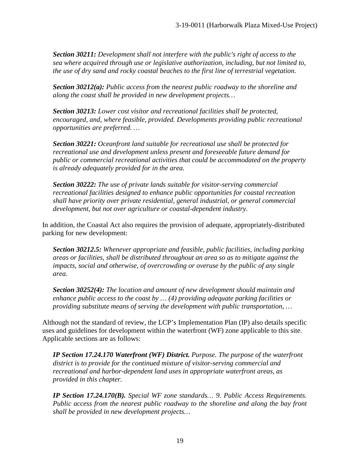*Section 30211: Development shall not interfere with the public's right of access to the sea where acquired through use or legislative authorization, including, but not limited to, the use of dry sand and rocky coastal beaches to the first line of terrestrial vegetation.*

*Section 30212(a): Public access from the nearest public roadway to the shoreline and along the coast shall be provided in new development projects…*

*Section 30213: Lower cost visitor and recreational facilities shall be protected, encouraged, and, where feasible, provided. Developments providing public recreational opportunities are preferred. …*

*Section 30221: Oceanfront land suitable for recreational use shall be protected for recreational use and development unless present and foreseeable future demand for public or commercial recreational activities that could be accommodated on the property is already adequately provided for in the area.*

*Section 30222: The use of private lands suitable for visitor-serving commercial recreational facilities designed to enhance public opportunities for coastal recreation shall have priority over private residential, general industrial, or general commercial development, but not over agriculture or coastal-dependent industry.* 

In addition, the Coastal Act also requires the provision of adequate, appropriately-distributed parking for new development:

*Section 30212.5: Whenever appropriate and feasible, public facilities, including parking areas or facilities, shall be distributed throughout an area so as to mitigate against the impacts, social and otherwise, of overcrowding or overuse by the public of any single area.*

*Section 30252(4): The location and amount of new development should maintain and enhance public access to the coast by … (4) providing adequate parking facilities or providing substitute means of serving the development with public transportation, …*

Although not the standard of review, the LCP's Implementation Plan (IP) also details specific uses and guidelines for development within the waterfront (WF) zone applicable to this site. Applicable sections are as follows:

*IP Section 17.24.170 Waterfront (WF) District. Purpose. The purpose of the waterfront district is to provide for the continued mixture of visitor-serving commercial and recreational and harbor-dependent land uses in appropriate waterfront areas, as provided in this chapter.* 

*IP Section 17.24.170(B). Special WF zone standards… 9. Public Access Requirements. Public access from the nearest public roadway to the shoreline and along the bay front shall be provided in new development projects…*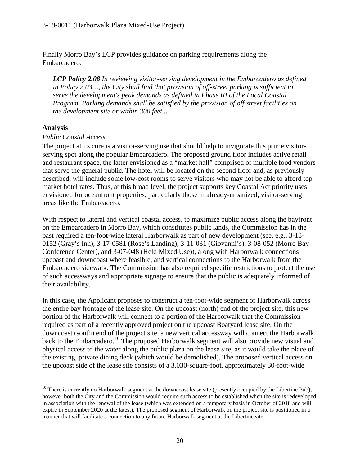Finally Morro Bay's LCP provides guidance on parking requirements along the Embarcadero:

*LCP Policy 2.08 In reviewing visitor-serving development in the Embarcadero as defined in Policy 2.03…, the City shall find that provision of off-street parking is sufficient to serve the development's peak demands as defined in Phase III of the Local Coastal Program. Parking demands shall be satisfied by the provision of off street facilities on the development site or within 300 feet...* 

#### **Analysis**

#### *Public Coastal Access*

The project at its core is a visitor-serving use that should help to invigorate this prime visitorserving spot along the popular Embarcadero. The proposed ground floor includes active retail and restaurant space, the latter envisioned as a "market hall" comprised of multiple food vendors that serve the general public. The hotel will be located on the second floor and, as previously described, will include some low-cost rooms to serve visitors who may not be able to afford top market hotel rates. Thus, at this broad level, the project supports key Coastal Act priority uses envisioned for oceanfront properties, particularly those in already-urbanized, visitor-serving areas like the Embarcadero.

With respect to lateral and vertical coastal access, to maximize public access along the bayfront on the Embarcadero in Morro Bay, which constitutes public lands, the Commission has in the past required a ten-foot-wide lateral Harborwalk as part of new development (see, e.g., 3-18- 0152 (Gray's Inn), 3-17-0581 (Rose's Landing), 3-11-031 (Giovanni's), 3-08-052 (Morro Bay Conference Center), and 3-07-048 (Held Mixed Use)), along with Harborwalk connections upcoast and downcoast where feasible, and vertical connections to the Harborwalk from the Embarcadero sidewalk. The Commission has also required specific restrictions to protect the use of such accessways and appropriate signage to ensure that the public is adequately informed of their availability.

In this case, the Applicant proposes to construct a ten-foot-wide segment of Harborwalk across the entire bay frontage of the lease site. On the upcoast (north) end of the project site, this new portion of the Harborwalk will connect to a portion of the Harborwalk that the Commission required as part of a recently approved project on the upcoast Boatyard lease site. On the downcoast (south) end of the project site, a new vertical accessway will connect the Harborwalk back to the Embarcadero.<sup>[10](#page-19-0)</sup> The proposed Harborwalk segment will also provide new visual and physical access to the water along the public plaza on the lease site, as it would take the place of the existing, private dining deck (which would be demolished). The proposed vertical access on the upcoast side of the lease site consists of a 3,030-square-foot, approximately 30-foot-wide

<span id="page-19-0"></span> $10$  There is currently no Harborwalk segment at the downcoast lease site (presently occupied by the Libertine Pub); however both the City and the Commission would require such access to be established when the site is redeveloped in association with the renewal of the lease (which was extended on a temporary basis in October of 2018 and will expire in September 2020 at the latest). The proposed segment of Harborwalk on the project site is positioned in a manner that will facilitate a connection to any future Harborwalk segment at the Libertine site.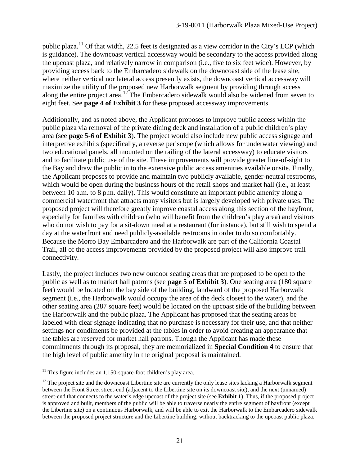public plaza.<sup>[11](#page-20-0)</sup> Of that width, 22.5 feet is designated as a view corridor in the City's LCP (which is guidance). The downcoast vertical accessway would be secondary to the access provided along the upcoast plaza, and relatively narrow in comparison (i.e., five to six feet wide). However, by providing access back to the Embarcadero sidewalk on the downcoast side of the lease site, where neither vertical nor lateral access presently exists, the downcoast vertical accessway will maximize the utility of the proposed new Harborwalk segment by providing through access along the entire project area.<sup>[12](#page-20-1)</sup> The Embarcadero sidewalk would also be widened from seven to eight feet. See **page 4 of Exhibit 3** for these proposed accessway improvements.

Additionally, and as noted above, the Applicant proposes to improve public access within the public plaza via removal of the private dining deck and installation of a public children's play area (see **page 5-6 of Exhibit 3**). The project would also include new public access signage and interpretive exhibits (specifically, a reverse periscope (which allows for underwater viewing) and two educational panels, all mounted on the railing of the lateral accessway) to educate visitors and to facilitate public use of the site. These improvements will provide greater line-of-sight to the Bay and draw the public in to the extensive public access amenities available onsite. Finally, the Applicant proposes to provide and maintain two publicly available, gender-neutral restrooms, which would be open during the business hours of the retail shops and market hall (i.e., at least between 10 a.m. to 8 p.m. daily). This would constitute an important public amenity along a commercial waterfront that attracts many visitors but is largely developed with private uses. The proposed project will therefore greatly improve coastal access along this section of the bayfront, especially for families with children (who will benefit from the children's play area) and visitors who do not wish to pay for a sit-down meal at a restaurant (for instance), but still wish to spend a day at the waterfront and need publicly-available restrooms in order to do so comfortably. Because the Morro Bay Embarcadero and the Harborwalk are part of the California Coastal Trail, all of the access improvements provided by the proposed project will also improve trail connectivity.

Lastly, the project includes two new outdoor seating areas that are proposed to be open to the public as well as to market hall patrons (see **page 5 of Exhibit 3**). One seating area (180 square feet) would be located on the bay side of the building, landward of the proposed Harborwalk segment (i.e., the Harborwalk would occupy the area of the deck closest to the water), and the other seating area (287 square feet) would be located on the upcoast side of the building between the Harborwalk and the public plaza. The Applicant has proposed that the seating areas be labeled with clear signage indicating that no purchase is necessary for their use, and that neither settings nor condiments be provided at the tables in order to avoid creating an appearance that the tables are reserved for market hall patrons. Though the Applicant has made these commitments through its proposal, they are memorialized in **Special Condition 4** to ensure that the high level of public amenity in the original proposal is maintained.

<span id="page-20-0"></span> $11$  This figure includes an 1,150-square-foot children's play area.

<span id="page-20-1"></span> $12$  The project site and the downcoast Libertine site are currently the only lease sites lacking a Harborwalk segment between the Front Street street-end (adjacent to the Libertine site on its downcoast site), and the next (unnamed) street-end that connects to the water's edge upcoast of the project site (see **Exhibit 1**). Thus, if the proposed project is approved and built, members of the public will be able to traverse nearly the entire segment of bayfront (except the Libertine site) on a continuous Harborwalk, and will be able to exit the Harborwalk to the Embarcadero sidewalk between the proposed project structure and the Libertine building, without backtracking to the upcoast public plaza.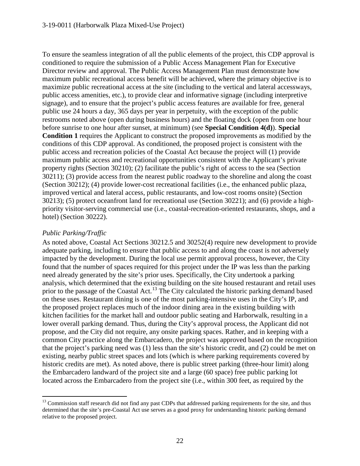To ensure the seamless integration of all the public elements of the project, this CDP approval is conditioned to require the submission of a Public Access Management Plan for Executive Director review and approval. The Public Access Management Plan must demonstrate how maximum public recreational access benefit will be achieved, where the primary objective is to maximize public recreational access at the site (including to the vertical and lateral accessways, public access amenities, etc.), to provide clear and informative signage (including interpretive signage), and to ensure that the project's public access features are available for free, general public use 24 hours a day, 365 days per year in perpetuity, with the exception of the public restrooms noted above (open during business hours) and the floating dock (open from one hour before sunrise to one hour after sunset, at minimum) (see **Special Condition 4(d)**). **Special Condition 1** requires the Applicant to construct the proposed improvements as modified by the conditions of this CDP approval. As conditioned, the proposed project is consistent with the public access and recreation policies of the Coastal Act because the project will (1) provide maximum public access and recreational opportunities consistent with the Applicant's private property rights (Section 30210); (2) facilitate the public's right of access to the sea (Section 30211); (3) provide access from the nearest public roadway to the shoreline and along the coast (Section 30212); (4) provide lower-cost recreational facilities (i.e., the enhanced public plaza, improved vertical and lateral access, public restaurants, and low-cost rooms onsite) (Section 30213); (5) protect oceanfront land for recreational use (Section 30221); and (6) provide a highpriority visitor-serving commercial use (i.e., coastal-recreation-oriented restaurants, shops, and a hotel) (Section 30222).

### *Public Parking/Traffic*

As noted above, Coastal Act Sections 30212.5 and 30252(4) require new development to provide adequate parking, including to ensure that public access to and along the coast is not adversely impacted by the development. During the local use permit approval process, however, the City found that the number of spaces required for this project under the IP was less than the parking need already generated by the site's prior uses. Specifically, the City undertook a parking analysis, which determined that the existing building on the site housed restaurant and retail uses prior to the passage of the Coastal Act.<sup>[13](#page-21-0)</sup> The City calculated the historic parking demand based on these uses. Restaurant dining is one of the most parking-intensive uses in the City's IP, and the proposed project replaces much of the indoor dining area in the existing building with kitchen facilities for the market hall and outdoor public seating and Harborwalk, resulting in a lower overall parking demand. Thus, during the City's approval process, the Applicant did not propose, and the City did not require, any onsite parking spaces. Rather, and in keeping with a common City practice along the Embarcadero, the project was approved based on the recognition that the project's parking need was (1) less than the site's historic credit, and (2) could be met on existing, nearby public street spaces and lots (which is where parking requirements covered by historic credits are met). As noted above, there is public street parking (three-hour limit) along the Embarcadero landward of the project site and a large (60 space) free public parking lot located across the Embarcadero from the project site (i.e., within 300 feet, as required by the

<span id="page-21-0"></span><sup>&</sup>lt;sup>13</sup> Commission staff research did not find any past CDPs that addressed parking requirements for the site, and thus determined that the site's pre-Coastal Act use serves as a good proxy for understanding historic parking demand relative to the proposed project.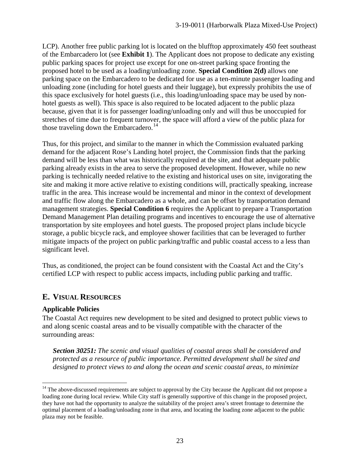LCP). Another free public parking lot is located on the blufftop approximately 450 feet southeast of the Embarcadero lot (see **Exhibit 1**). The Applicant does not propose to dedicate any existing public parking spaces for project use except for one on-street parking space fronting the proposed hotel to be used as a loading/unloading zone. **Special Condition 2(d)** allows one parking space on the Embarcadero to be dedicated for use as a ten-minute passenger loading and unloading zone (including for hotel guests and their luggage), but expressly prohibits the use of this space exclusively for hotel guests (i.e., this loading/unloading space may be used by nonhotel guests as well). This space is also required to be located adjacent to the public plaza because, given that it is for passenger loading/unloading only and will thus be unoccupied for stretches of time due to frequent turnover, the space will afford a view of the public plaza for those traveling down the Embarcadero.<sup>[14](#page-22-0)</sup>

Thus, for this project, and similar to the manner in which the Commission evaluated parking demand for the adjacent Rose's Landing hotel project, the Commission finds that the parking demand will be less than what was historically required at the site, and that adequate public parking already exists in the area to serve the proposed development. However, while no new parking is technically needed relative to the existing and historical uses on site, invigorating the site and making it more active relative to existing conditions will, practically speaking, increase traffic in the area. This increase would be incremental and minor in the context of development and traffic flow along the Embarcadero as a whole, and can be offset by transportation demand management strategies. **Special Condition 6** requires the Applicant to prepare a Transportation Demand Management Plan detailing programs and incentives to encourage the use of alternative transportation by site employees and hotel guests. The proposed project plans include bicycle storage, a public bicycle rack, and employee shower facilities that can be leveraged to further mitigate impacts of the project on public parking/traffic and public coastal access to a less than significant level.

Thus, as conditioned, the project can be found consistent with the Coastal Act and the City's certified LCP with respect to public access impacts, including public parking and traffic.

# **E. VISUAL RESOURCES**

### **Applicable Policies**

The Coastal Act requires new development to be sited and designed to protect public views to and along scenic coastal areas and to be visually compatible with the character of the surrounding areas:

*Section 30251: The scenic and visual qualities of coastal areas shall be considered and protected as a resource of public importance. Permitted development shall be sited and designed to protect views to and along the ocean and scenic coastal areas, to minimize* 

<span id="page-22-0"></span> $14$  The above-discussed requirements are subject to approval by the City because the Applicant did not propose a loading zone during local review. While City staff is generally supportive of this change in the proposed project, they have not had the opportunity to analyze the suitability of the project area's street frontage to determine the optimal placement of a loading/unloading zone in that area, and locating the loading zone adjacent to the public plaza may not be feasible.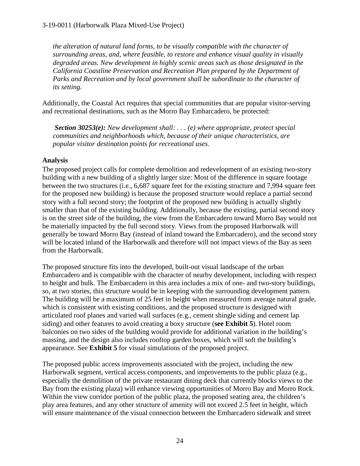*the alteration of natural land forms, to be visually compatible with the character of surrounding areas, and, where feasible, to restore and enhance visual quality in visually degraded areas. New development in highly scenic areas such as those designated in the California Coastline Preservation and Recreation Plan prepared by the Department of Parks and Recreation and by local government shall be subordinate to the character of its setting.*

Additionally, the Coastal Act requires that special communities that are popular visitor-serving and recreational destinations, such as the Morro Bay Embarcadero, be protected:

*Section 30253(e): New development shall: . . . (e) where appropriate, protect special communities and neighborhoods which, because of their unique characteristics, are popular visitor destination points for recreational uses.*

### **Analysis**

The proposed project calls for complete demolition and redevelopment of an existing two-story building with a new building of a slightly larger size: Most of the difference in square footage between the two structures (i.e., 6,687 square feet for the existing structure and 7,994 square feet for the proposed new building) is because the proposed structure would replace a partial second story with a full second story; the footprint of the proposed new building is actually slightly smaller than that of the existing building. Additionally, because the existing, partial second story is on the street side of the building, the view from the Embarcadero toward Morro Bay would not be materially impacted by the full second story. Views from the proposed Harborwalk will generally be toward Morro Bay (instead of inland toward the Embarcadero), and the second story will be located inland of the Harborwalk and therefore will not impact views of the Bay as seen from the Harborwalk.

The proposed structure fits into the developed, built-out visual landscape of the urban Embarcadero and is compatible with the character of nearby development, including with respect to height and bulk. The Embarcadero in this area includes a mix of one- and two-story buildings, so, at two stories, this structure would be in keeping with the surrounding development pattern. The building will be a maximum of 25 feet in height when measured from average natural grade, which is consistent with existing conditions, and the proposed structure is designed with articulated roof planes and varied wall surfaces (e.g., cement shingle siding and cement lap siding) and other features to avoid creating a boxy structure (**see Exhibit 5**). Hotel room balconies on two sides of the building would provide for additional variation in the building's massing, and the design also includes rooftop garden boxes, which will soft the building's appearance. See **Exhibit 5** for visual simulations of the proposed project.

The proposed public access improvements associated with the project, including the new Harborwalk segment, vertical access components, and improvements to the public plaza (e.g., especially the demolition of the private restaurant dining deck that currently blocks views to the Bay from the existing plaza) will enhance viewing opportunities of Morro Bay and Morro Rock. Within the view corridor portion of the public plaza, the proposed seating area, the children's play area features, and any other structure of amenity will not exceed 2.5 feet in height, which will ensure maintenance of the visual connection between the Embarcadero sidewalk and street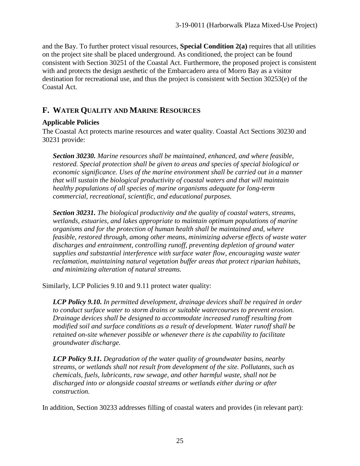and the Bay. To further protect visual resources, **Special Condition 2(a)** requires that all utilities on the project site shall be placed underground. As conditioned, the project can be found consistent with Section 30251 of the Coastal Act. Furthermore, the proposed project is consistent with and protects the design aesthetic of the Embarcadero area of Morro Bay as a visitor destination for recreational use, and thus the project is consistent with Section 30253(e) of the Coastal Act.

# **F. WATER QUALITY AND MARINE RESOURCES**

### **Applicable Policies**

The Coastal Act protects marine resources and water quality. Coastal Act Sections 30230 and 30231 provide:

*Section 30230. Marine resources shall be maintained, enhanced, and where feasible, restored. Special protection shall be given to areas and species of special biological or economic significance. Uses of the marine environment shall be carried out in a manner that will sustain the biological productivity of coastal waters and that will maintain healthy populations of all species of marine organisms adequate for long-term commercial, recreational, scientific, and educational purposes.*

*Section 30231. The biological productivity and the quality of coastal waters, streams, wetlands, estuaries, and lakes appropriate to maintain optimum populations of marine organisms and for the protection of human health shall be maintained and, where feasible, restored through, among other means, minimizing adverse effects of waste water discharges and entrainment, controlling runoff, preventing depletion of ground water supplies and substantial interference with surface water flow, encouraging waste water reclamation, maintaining natural vegetation buffer areas that protect riparian habitats, and minimizing alteration of natural streams.*

Similarly, LCP Policies 9.10 and 9.11 protect water quality:

*LCP Policy 9.10. In permitted development, drainage devices shall be required in order to conduct surface water to storm drains or suitable watercourses to prevent erosion. Drainage devices shall be designed to accommodate increased runoff resulting from modified soil and surface conditions as a result of development. Water runoff shall be retained on-site whenever possible or whenever there is the capability to facilitate groundwater discharge.*

*LCP Policy 9.11. Degradation of the water quality of groundwater basins, nearby streams, or wetlands shall not result from development of the site. Pollutants, such as chemicals, fuels, lubricants, raw sewage, and other harmful waste, shall not be discharged into or alongside coastal streams or wetlands either during or after construction.*

In addition, Section 30233 addresses filling of coastal waters and provides (in relevant part):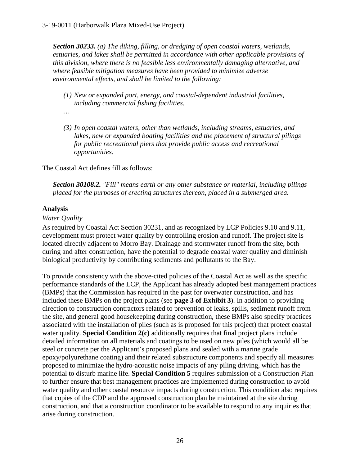*Section 30233. (a) The diking, filling, or dredging of open coastal waters, wetlands, estuaries, and lakes shall be permitted in accordance with other applicable provisions of this division, where there is no feasible less environmentally damaging alternative, and where feasible mitigation measures have been provided to minimize adverse environmental effects, and shall be limited to the following:* 

*(1) New or expanded port, energy, and coastal-dependent industrial facilities, including commercial fishing facilities.* 

*…*

*(3) In open coastal waters, other than wetlands, including streams, estuaries, and lakes, new or expanded boating facilities and the placement of structural pilings for public recreational piers that provide public access and recreational opportunities.*

The Coastal Act defines fill as follows:

*Section 30108.2. "Fill" means earth or any other substance or material, including pilings placed for the purposes of erecting structures thereon, placed in a submerged area.*

### **Analysis**

#### *Water Quality*

As required by Coastal Act Section 30231, and as recognized by LCP Policies 9.10 and 9.11, development must protect water quality by controlling erosion and runoff. The project site is located directly adjacent to Morro Bay. Drainage and stormwater runoff from the site, both during and after construction, have the potential to degrade coastal water quality and diminish biological productivity by contributing sediments and pollutants to the Bay.

To provide consistency with the above-cited policies of the Coastal Act as well as the specific performance standards of the LCP, the Applicant has already adopted best management practices (BMPs) that the Commission has required in the past for overwater construction, and has included these BMPs on the project plans (see **page 3 of Exhibit 3**). In addition to providing direction to construction contractors related to prevention of leaks, spills, sediment runoff from the site, and general good housekeeping during construction, these BMPs also specify practices associated with the installation of piles (such as is proposed for this project) that protect coastal water quality. **Special Condition 2(c)** additionally requires that final project plans include detailed information on all materials and coatings to be used on new piles (which would all be steel or concrete per the Applicant's proposed plans and sealed with a marine grade epoxy/polyurethane coating) and their related substructure components and specify all measures proposed to minimize the hydro-acoustic noise impacts of any piling driving, which has the potential to disturb marine life. **Special Condition 5** requires submission of a Construction Plan to further ensure that best management practices are implemented during construction to avoid water quality and other coastal resource impacts during construction. This condition also requires that copies of the CDP and the approved construction plan be maintained at the site during construction, and that a construction coordinator to be available to respond to any inquiries that arise during construction.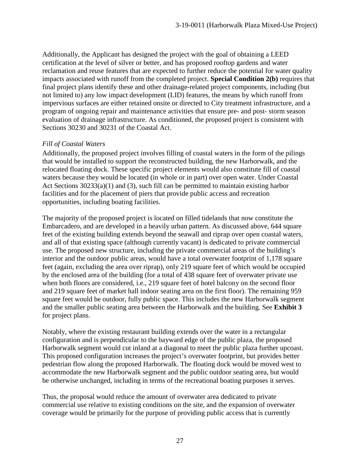Additionally, the Applicant has designed the project with the goal of obtaining a LEED certification at the level of silver or better, and has proposed rooftop gardens and water reclamation and reuse features that are expected to further reduce the potential for water quality impacts associated with runoff from the completed project. **Special Condition 2(b)** requires that final project plans identify these and other drainage-related project components, including (but not limited to) any low impact development (LID) features, the means by which runoff from impervious surfaces are either retained onsite or directed to City treatment infrastructure, and a program of ongoing repair and maintenance activities that ensure pre- and post- storm season evaluation of drainage infrastructure. As conditioned, the proposed project is consistent with Sections 30230 and 30231 of the Coastal Act.

#### *Fill of Coastal Waters*

Additionally, the proposed project involves filling of coastal waters in the form of the pilings that would be installed to support the reconstructed building, the new Harborwalk, and the relocated floating dock. These specific project elements would also constitute fill of coastal waters because they would be located (in whole or in part) over open water. Under Coastal Act Sections 30233(a)(1) and (3), such fill can be permitted to maintain existing harbor facilities and for the placement of piers that provide public access and recreation opportunities, including boating facilities.

The majority of the proposed project is located on filled tidelands that now constitute the Embarcadero, and are developed in a heavily urban pattern. As discussed above, 644 square feet of the existing building extends beyond the seawall and riprap over open coastal waters, and all of that existing space (although currently vacant) is dedicated to private commercial use. The proposed new structure, including the private commercial areas of the building's interior and the outdoor public areas, would have a total overwater footprint of 1,178 square feet (again, excluding the area over riprap), only 219 square feet of which would be occupied by the enclosed area of the building (for a total of 438 square feet of overwater private use when both floors are considered, i.e., 219 square feet of hotel balcony on the second floor and 219 square feet of market hall indoor seating area on the first floor). The remaining 959 square feet would be outdoor, fully public space. This includes the new Harborwalk segment and the smaller public seating area between the Harborwalk and the building. See **Exhibit 3**  for project plans.

Notably, where the existing restaurant building extends over the water in a rectangular configuration and is perpendicular to the bayward edge of the public plaza, the proposed Harborwalk segment would cut inland at a diagonal to meet the public plaza further upcoast. This proposed configuration increases the project's overwater footprint, but provides better pedestrian flow along the proposed Harborwalk. The floating dock would be moved west to accommodate the new Harborwalk segment and the public outdoor seating area, but would be otherwise unchanged, including in terms of the recreational boating purposes it serves.

Thus, the proposal would reduce the amount of overwater area dedicated to private commercial use relative to existing conditions on the site, and the expansion of overwater coverage would be primarily for the purpose of providing public access that is currently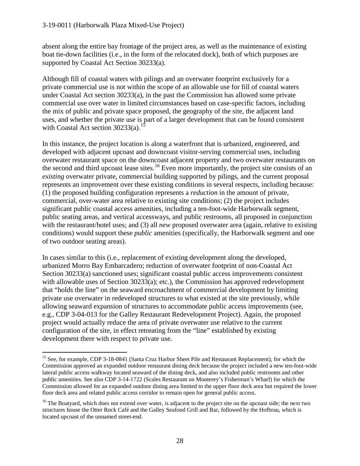absent along the entire bay frontage of the project area, as well as the maintenance of existing boat tie-down facilities (i.e., in the form of the relocated dock), both of which purposes are supported by Coastal Act Section 30233(a).

Although fill of coastal waters with pilings and an overwater footprint exclusively for a private commercial use is not within the scope of an allowable use for fill of coastal waters under Coastal Act section  $30233(a)$ , in the past the Commission has allowed some private commercial use over water in limited circumstances based on case-specific factors, including the mix of public and private space proposed, the geography of the site, the adjacent land uses, and whether the private use is part of a larger development that can be found consistent with Coastal Act section  $30233(a)$ .<sup>[15](#page-27-0)</sup>

In this instance, the project location is along a waterfront that is urbanized, engineered, and developed with adjacent upcoast and downcoast visitor-serving commercial uses, including overwater restaurant space on the downcoast adjacent property and two overwater restaurants on the second and third upcoast lease sites.<sup>[16](#page-27-1)</sup> Even more importantly, the project site consists of an *existing* overwater private, commercial building supported by pilings, and the current proposal represents an improvement over these existing conditions in several respects, including because: (1) the proposed building configuration represents a *reduction* in the amount of private, commercial, over-water area relative to existing site conditions; (2) the project includes significant public coastal access amenities, including a ten-foot-wide Harborwalk segment, public seating areas, and vertical accessways, and public restrooms, all proposed in conjunction with the restaurant/hotel uses; and (3) all *new* proposed overwater area (again, relative to existing conditions) would support these *public* amenities (specifically, the Harborwalk segment and one of two outdoor seating areas).

In cases similar to this (i.e., replacement of existing development along the developed, urbanized Morro Bay Embarcadero; reduction of overwater footprint of non-Coastal Act Section 30233(a) sanctioned uses; significant coastal public access improvements consistent with allowable uses of Section 30233(a); etc.), the Commission has approved redevelopment that "holds the line" on the seaward encroachment of commercial development by limiting private use overwater in redeveloped structures to what existed at the site previously, while allowing seaward expansion of structures to accommodate public access improvements (see, e.g., CDP 3-04-013 for the Galley Restaurant Redevelopment Project). Again, the proposed project would actually reduce the area of private overwater use relative to the current configuration of the site, in effect retreating from the "line" established by existing development there with respect to private use.

<span id="page-27-0"></span><sup>&</sup>lt;sup>15</sup> See, for example, CDP 3-18-0841 (Santa Cruz Harbor Sheet Pile and Restaurant Replacement), for which the Commission approved an expanded outdoor restaurant dining deck because the project included a new ten-foot-wide lateral public access walkway located seaward of the dining deck, and also included public restrooms and other public amenities. See also CDP 3-14-1722 (Scales Restaurant on Monterey's Fisherman's Wharf) for which the Commission allowed for an expanded outdoor dining area limited to the upper floor deck area but required the lower floor deck area and related public access corridor to remain open for general public access.

<span id="page-27-1"></span><sup>&</sup>lt;sup>16</sup> The Boatyard, which does not extend over water, is adjacent to the project site on the upcoast side; the next two structures house the Otter Rock Café and the Galley Seafood Grill and Bar, followed by the Hofbrau, which is located upcoast of the unnamed street-end.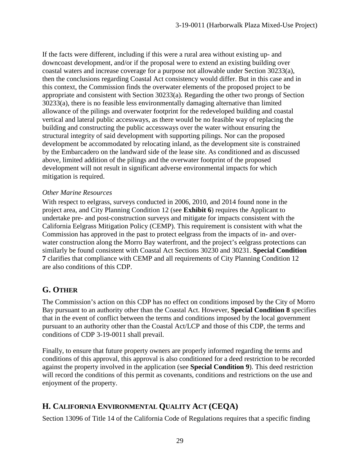If the facts were different, including if this were a rural area without existing up- and downcoast development, and/or if the proposal were to extend an existing building over coastal waters and increase coverage for a purpose not allowable under Section 30233(a), then the conclusions regarding Coastal Act consistency would differ. But in this case and in this context, the Commission finds the overwater elements of the proposed project to be appropriate and consistent with Section 30233(a). Regarding the other two prongs of Section 30233(a), there is no feasible less environmentally damaging alternative than limited allowance of the pilings and overwater footprint for the redeveloped building and coastal vertical and lateral public accessways, as there would be no feasible way of replacing the building and constructing the public accessways over the water without ensuring the structural integrity of said development with supporting pilings. Nor can the proposed development be accommodated by relocating inland, as the development site is constrained by the Embarcadero on the landward side of the lease site. As conditioned and as discussed above, limited addition of the pilings and the overwater footprint of the proposed development will not result in significant adverse environmental impacts for which mitigation is required.

#### *Other Marine Resources*

With respect to eelgrass, surveys conducted in 2006, 2010, and 2014 found none in the project area, and City Planning Condition 12 (see **Exhibit 6**) requires the Applicant to undertake pre- and post-construction surveys and mitigate for impacts consistent with the California Eelgrass Mitigation Policy (CEMP). This requirement is consistent with what the Commission has approved in the past to protect eelgrass from the impacts of in- and overwater construction along the Morro Bay waterfront, and the project's eelgrass protections can similarly be found consistent with Coastal Act Sections 30230 and 30231. **Special Condition 7** clarifies that compliance with CEMP and all requirements of City Planning Condition 12 are also conditions of this CDP.

# **G. OTHER**

The Commission's action on this CDP has no effect on conditions imposed by the City of Morro Bay pursuant to an authority other than the Coastal Act. However, **Special Condition 8** specifies that in the event of conflict between the terms and conditions imposed by the local government pursuant to an authority other than the Coastal Act/LCP and those of this CDP, the terms and conditions of CDP 3-19-0011 shall prevail.

Finally, to ensure that future property owners are properly informed regarding the terms and conditions of this approval, this approval is also conditioned for a deed restriction to be recorded against the property involved in the application (see **Special Condition 9**). This deed restriction will record the conditions of this permit as covenants, conditions and restrictions on the use and enjoyment of the property.

# **H. CALIFORNIA ENVIRONMENTAL QUALITY ACT (CEQA)**

Section 13096 of Title 14 of the California Code of Regulations requires that a specific finding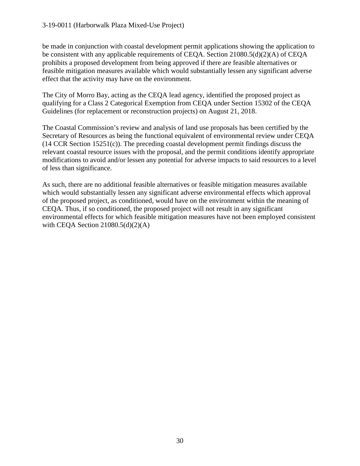be made in conjunction with coastal development permit applications showing the application to be consistent with any applicable requirements of CEQA. Section 21080.5(d)(2)(A) of CEQA prohibits a proposed development from being approved if there are feasible alternatives or feasible mitigation measures available which would substantially lessen any significant adverse effect that the activity may have on the environment.

The City of Morro Bay, acting as the CEQA lead agency, identified the proposed project as qualifying for a Class 2 Categorical Exemption from CEQA under Section 15302 of the CEQA Guidelines (for replacement or reconstruction projects) on August 21, 2018.

The Coastal Commission's review and analysis of land use proposals has been certified by the Secretary of Resources as being the functional equivalent of environmental review under CEQA (14 CCR Section 15251(c)). The preceding coastal development permit findings discuss the relevant coastal resource issues with the proposal, and the permit conditions identify appropriate modifications to avoid and/or lessen any potential for adverse impacts to said resources to a level of less than significance.

As such, there are no additional feasible alternatives or feasible mitigation measures available which would substantially lessen any significant adverse environmental effects which approval of the proposed project, as conditioned, would have on the environment within the meaning of CEQA. Thus, if so conditioned, the proposed project will not result in any significant environmental effects for which feasible mitigation measures have not been employed consistent with CEQA Section  $21080.5(d)(2)(A)$